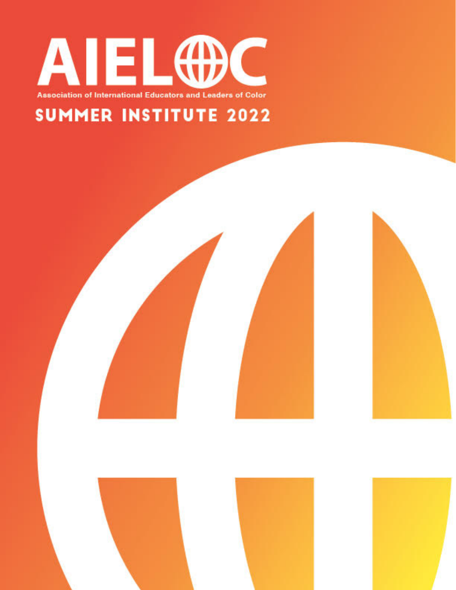

### **SUMMER INSTITUTE 2022**



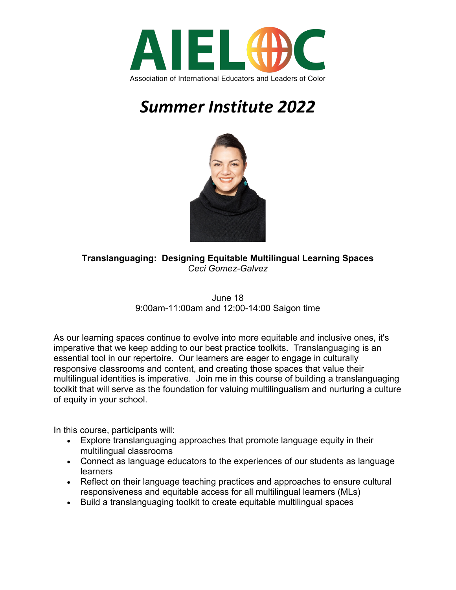



**Translanguaging: Designing Equitable Multilingual Learning Spaces** *Ceci Gomez-Galvez*

> June 18 9:00am-11:00am and 12:00-14:00 Saigon time

As our learning spaces continue to evolve into more equitable and inclusive ones, it's imperative that we keep adding to our best practice toolkits. Translanguaging is an essential tool in our repertoire. Our learners are eager to engage in culturally responsive classrooms and content, and creating those spaces that value their multilingual identities is imperative. Join me in this course of building a translanguaging toolkit that will serve as the foundation for valuing multilingualism and nurturing a culture of equity in your school.

- Explore translanguaging approaches that promote language equity in their multilingual classrooms
- Connect as language educators to the experiences of our students as language learners
- Reflect on their language teaching practices and approaches to ensure cultural responsiveness and equitable access for all multilingual learners (MLs)
- Build a translanguaging toolkit to create equitable multilingual spaces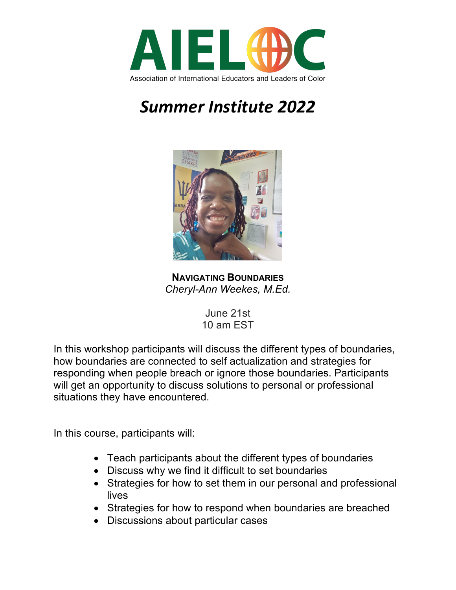



**NAVIGATING BOUNDARIES** *Cheryl-Ann Weekes, M.Ed.*

June 21st 10 am EST

In this workshop participants will discuss the different types of boundaries, how boundaries are connected to self actualization and strategies for responding when people breach or ignore those boundaries. Participants will get an opportunity to discuss solutions to personal or professional situations they have encountered.

- Teach participants about the different types of boundaries
- Discuss why we find it difficult to set boundaries
- Strategies for how to set them in our personal and professional lives
- Strategies for how to respond when boundaries are breached
- Discussions about particular cases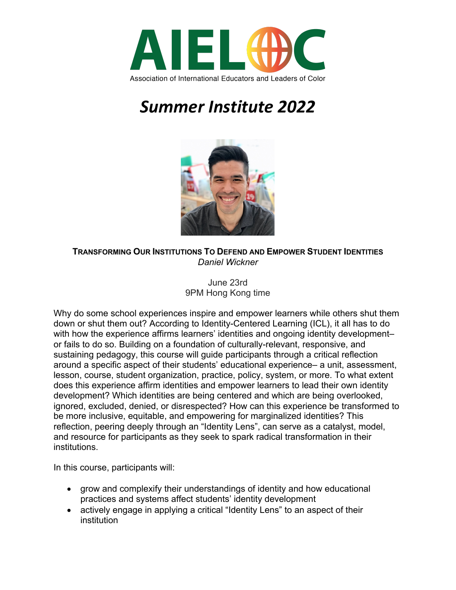



**TRANSFORMING OUR INSTITUTIONS TO DEFEND AND EMPOWER STUDENT IDENTITIES** *Daniel Wickner*

#### June 23rd 9PM Hong Kong time

Why do some school experiences inspire and empower learners while others shut them down or shut them out? According to Identity-Centered Learning (ICL), it all has to do with how the experience affirms learners' identities and ongoing identity development– or fails to do so. Building on a foundation of culturally-relevant, responsive, and sustaining pedagogy, this course will guide participants through a critical reflection around a specific aspect of their students' educational experience– a unit, assessment, lesson, course, student organization, practice, policy, system, or more. To what extent does this experience affirm identities and empower learners to lead their own identity development? Which identities are being centered and which are being overlooked, ignored, excluded, denied, or disrespected? How can this experience be transformed to be more inclusive, equitable, and empowering for marginalized identities? This reflection, peering deeply through an "Identity Lens", can serve as a catalyst, model, and resource for participants as they seek to spark radical transformation in their institutions.

- grow and complexify their understandings of identity and how educational practices and systems affect students' identity development
- actively engage in applying a critical "Identity Lens" to an aspect of their institution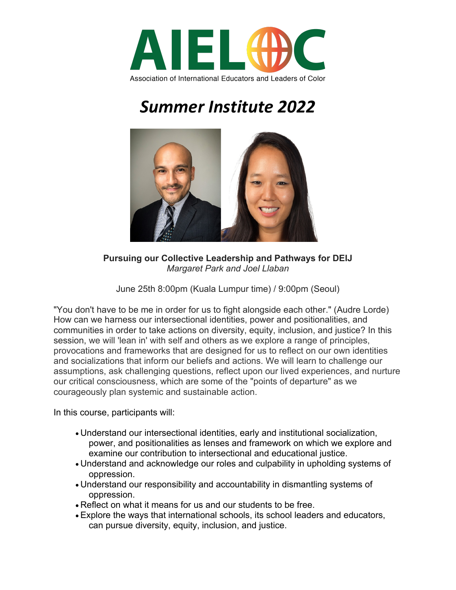



**Pursuing our Collective Leadership and Pathways for DEIJ** *Margaret Park and Joel Llaban*

June 25th 8:00pm (Kuala Lumpur time) / 9:00pm (Seoul)

"You don't have to be me in order for us to fight alongside each other." (Audre Lorde) How can we harness our intersectional identities, power and positionalities, and communities in order to take actions on diversity, equity, inclusion, and justice? In this session, we will 'lean in' with self and others as we explore a range of principles, provocations and frameworks that are designed for us to reflect on our own identities and socializations that inform our beliefs and actions. We will learn to challenge our assumptions, ask challenging questions, reflect upon our lived experiences, and nurture our critical consciousness, which are some of the "points of departure" as we courageously plan systemic and sustainable action.

- Understand our intersectional identities, early and institutional socialization, power, and positionalities as lenses and framework on which we explore and examine our contribution to intersectional and educational justice.
- Understand and acknowledge our roles and culpability in upholding systems of oppression.
- Understand our responsibility and accountability in dismantling systems of oppression.
- Reflect on what it means for us and our students to be free.
- Explore the ways that international schools, its school leaders and educators, can pursue diversity, equity, inclusion, and justice.